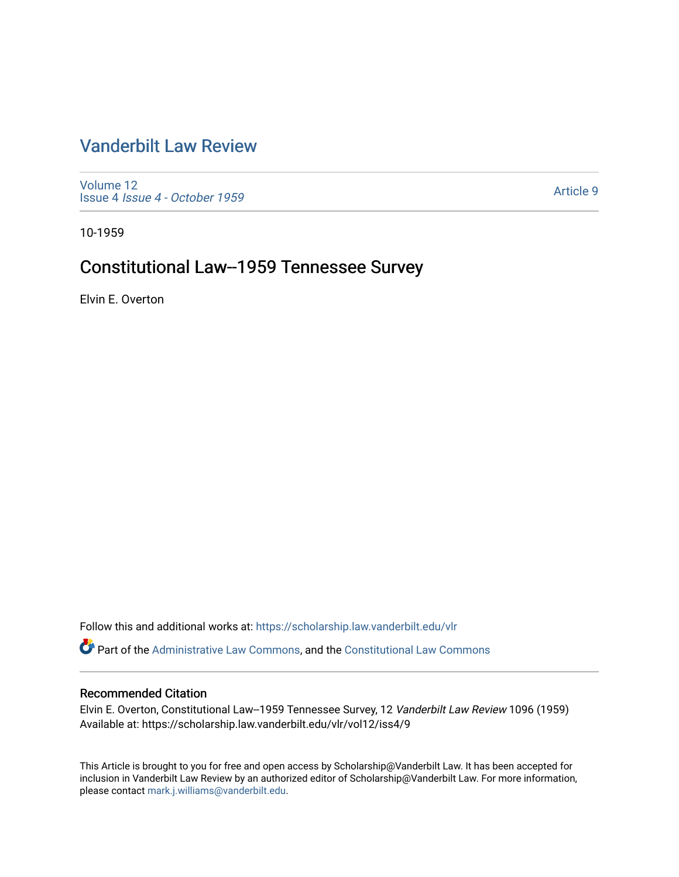# [Vanderbilt Law Review](https://scholarship.law.vanderbilt.edu/vlr)

[Volume 12](https://scholarship.law.vanderbilt.edu/vlr/vol12) Issue 4 [Issue 4 - October 1959](https://scholarship.law.vanderbilt.edu/vlr/vol12/iss4) 

[Article 9](https://scholarship.law.vanderbilt.edu/vlr/vol12/iss4/9) 

10-1959

# Constitutional Law--1959 Tennessee Survey

Elvin E. Overton

Follow this and additional works at: [https://scholarship.law.vanderbilt.edu/vlr](https://scholarship.law.vanderbilt.edu/vlr?utm_source=scholarship.law.vanderbilt.edu%2Fvlr%2Fvol12%2Fiss4%2F9&utm_medium=PDF&utm_campaign=PDFCoverPages)

Part of the [Administrative Law Commons,](http://network.bepress.com/hgg/discipline/579?utm_source=scholarship.law.vanderbilt.edu%2Fvlr%2Fvol12%2Fiss4%2F9&utm_medium=PDF&utm_campaign=PDFCoverPages) and the [Constitutional Law Commons](http://network.bepress.com/hgg/discipline/589?utm_source=scholarship.law.vanderbilt.edu%2Fvlr%2Fvol12%2Fiss4%2F9&utm_medium=PDF&utm_campaign=PDFCoverPages)

### Recommended Citation

Elvin E. Overton, Constitutional Law--1959 Tennessee Survey, 12 Vanderbilt Law Review 1096 (1959) Available at: https://scholarship.law.vanderbilt.edu/vlr/vol12/iss4/9

This Article is brought to you for free and open access by Scholarship@Vanderbilt Law. It has been accepted for inclusion in Vanderbilt Law Review by an authorized editor of Scholarship@Vanderbilt Law. For more information, please contact [mark.j.williams@vanderbilt.edu.](mailto:mark.j.williams@vanderbilt.edu)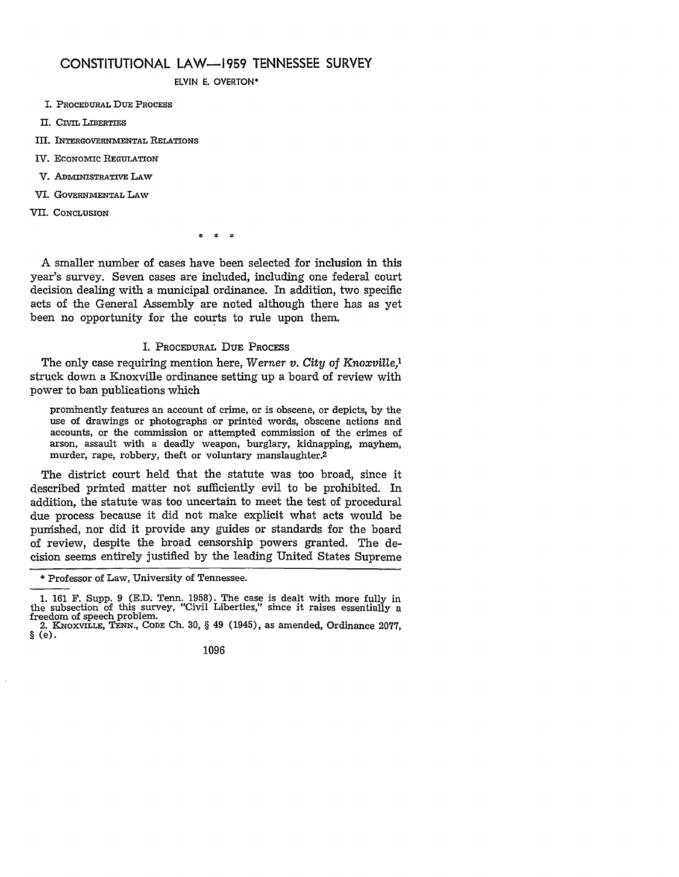## **CONSTITUTIONAL** LAW-1959 **TENNESSEE** SURVEY

ELVIN E. OVERTON\*

- I. **PROCEDURAL DUE PROCESS**
- **II. CIVIL** LIBERTIES
- Ill. **INTERGOVERNMENTAL RELATIONS**
- IV. ECONOMIC REGULATION
- V. **ADMVINISTRATIVE** LAW
- VI. **GOVERNMENTAL** LAW
- VII. **CONCLUSION**

 $\frac{d}{dx}$  $\mathbf{r}$ 

A smaller number of cases have been selected for inclusion in this year's survey. Seven cases are included, including one federal court decision dealing with a municipal ordinance. In addition, two specific acts of the General Assembly are noted although there has as yet been no opportunity for the courts to rule upon them.

### I. PROCEDURAL DUE **PROCESS**

The only case requiring mention here, *Werner v. City of Knoxville,'* struck down a Knoxville ordinance setting up a board of review with power to ban publications which

prominently features an account of crime, or is obscene, or depicts, by the use of drawings or photographs or printed words, obscene actions and accounts, or the commission or attempted commission of the crimes of arson, assault with a deadly weapon, burglary, kidnapping, mayhem, murder, rape, robbery, theft or voluntary manslaughter.<sup>2</sup>

The district court held that the statute was too broad, since it described printed matter not sufficiently evil to be prohibited. In addition, the statute was too uncertain to meet the test of procedural due process because it did not make explicit what acts would be punished, nor did it provide any guides or standards for the board of review, despite the broad censorship powers granted. The decision seems entirely justified by the leading United States Supreme

<sup>\*</sup> Professor of Law, University of Tennessee.

<sup>1. 161</sup> F. Supp. 9 (E.D. Tenn. 1958). The case is dealt with more fully in the subsection of this survey, "Civil Liberties," since it raises essentially a freedom of speech problem.<br>2. KNoxviLLE, TENN., CODE Ch. 30, § 49 (1945), as amended, Ordinance 2077,

<sup>§ (</sup>e).

<sup>1096</sup>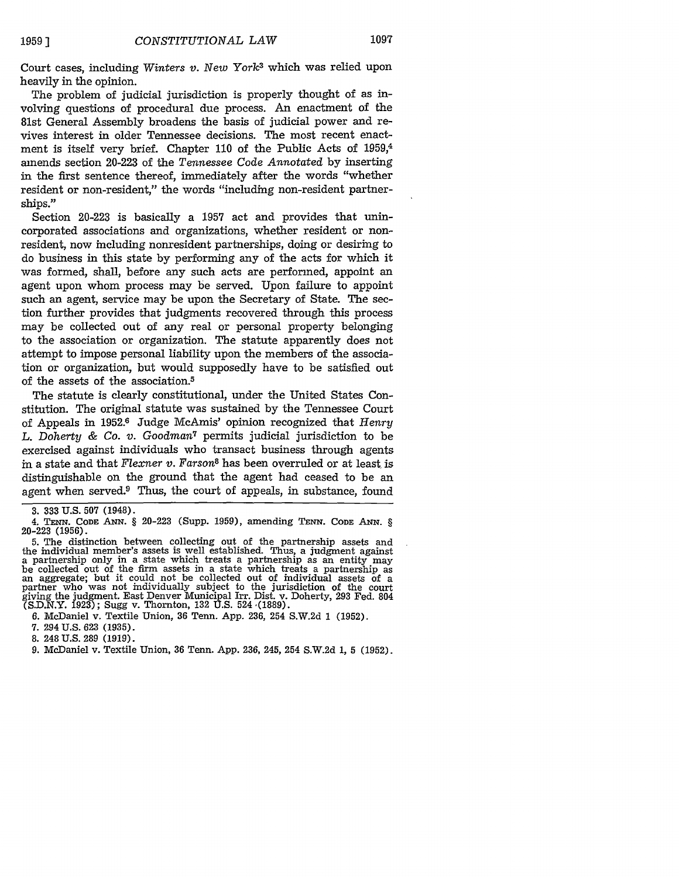Court cases, including *Winters v. New York<sup>3</sup>* which was relied upon heavily in the opinion.

The problem of judicial jurisdiction is properly thought of as involving questions of procedural due process. An enactment of the 81st General Assembly broadens the basis of judicial power and revives interest in older Tennessee decisions. The most recent enactment is itself very brief. Chapter 110 of the Public Acts of 1959, amends section 20-223 of the *Tennessee Code Annotated* by inserting in the first sentence thereof, immediately after the words "whether resident or non-resident," the words "including non-resident partnerships."

Section 20-223 is basically a 1957 act and provides that unincorporated associations and organizations, whether resident or nonresident, now including nonresident partnerships, doing or desiring to do business in this state by performing any of the acts for which it was formed, shall, before any such acts are performed, appoint an agent upon whom process may be served. Upon failure to appoint such an agent, service may be upon the Secretary of State. The section further provides that judgments recovered through this process may be collected out of any real or personal property belonging to the association or organization. The statute apparently does not attempt to impose personal liability upon the members of the association or organization, but would supposedly have to be satisfied out of the assets of the association.5

The statute is clearly constitutional, under the United States Constitution. The original statute was sustained by the Tennessee Court of Appeals in 1952.6 Judge McAmis' opinion recognized that *Henry L. Doherty & Co. v. Goodman7* permits judicial jurisdiction to be exercised against individuals who transact business through agents in a state and that *Flexner v. Farson8* has been overruled or at least is distinguishable on the ground that the agent had ceased to be an agent when served.<sup>9</sup> Thus, the court of appeals, in substance, found

**8.** 248 **U.S. 289 (1919).**

<sup>3. 333</sup> U.S. 507 (1948).

<sup>4.</sup> **TENN. CODE ANN.** § 20-223 (Supp. 1959), amending TENN. CODE **ANN.** *§* 20-223 (1956).

<sup>5.</sup> The distinction between collecting out of the partnership assets and the individual member's assets is well established. Thus, a judgment against a partnership only in a state which treats a partnership as an entity may be collected out of the firm assets in a state which treats a partnership as an aggregate; but it could not be collected out of individual assets of a partner who was not individually subject to the jurisdiction of the court giving the judgment. East Denver Municipal Irr. Dist. v. Doherty, 293 Fed. 804 iving the judgment. East Denver Municipal Irr. Dist. (S.D.N.Y. 1923); Sugg v. Thornton, 132 U.S. 524 ,(1889).

<sup>6.</sup> McDaniel v. Textile Union, 36 Tenn. App. 236, 254 S.W.2d 1 (1952).

<sup>7. 294</sup> U.S. 623 (1935).

<sup>9.</sup> McDaniel v. Textile Union, 36 Tenn. App. 236, 245, 254 S.W.2d 1, 5 (1952).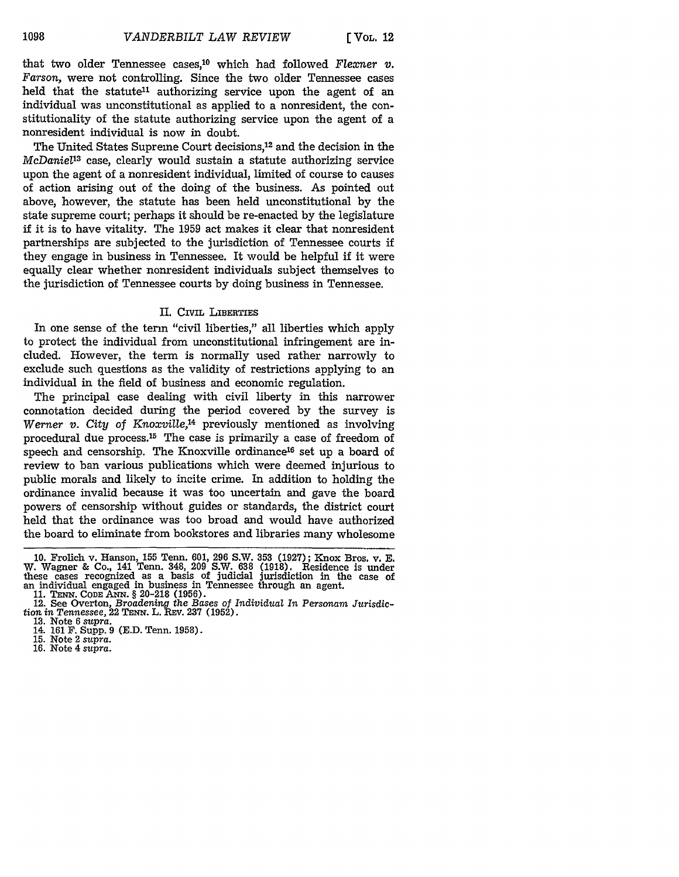that two older Tennessee cases,10 which had followed *Flexner* v. *Farson,* were not controlling. Since the two older Tennessee cases held that the statute<sup>11</sup> authorizing service upon the agent of an individual was unconstitutional as applied to a nonresident, the constitutionality of the statute authorizing service upon the agent of a nonresident individual is now in doubt.

The United States Supreme Court decisions, 12 and the decision in the *McDaniel'<sup>3</sup>*case, clearly would sustain a statute authorizing service upon the agent of a nonresident individual, limited of course to causes of action arising out of the doing of the business. As pointed out above, however, the statute has been held unconstitutional by the state supreme court; perhaps it should be re-enacted by the legislature if it is to have vitality. The 1959 act makes it clear that nonresident partnerships are subjected to the jurisdiction of Tennessee courts if they engage in business in Tennessee. It would be helpful if it were equally clear whether nonresident individuals subject themselves to the jurisdiction of Tennessee courts by doing business in Tennessee.

#### II. CIVIL LIBERTIES

In one sense of the term "civil liberties," all liberties which apply to protect the individual from unconstitutional infringement are included. However, the term is normally used rather narrowly to exclude such questions as the validity of restrictions applying to an individual in the field of business and economic regulation.

The principal case dealing with civil liberty in this narrower connotation decided during the period covered by the survey is *Werner v. City* of *Knoxville,14* previously mentioned as involving procedural due process.15 The case is primarily a case of freedom of speech and censorship. The Knoxville ordinance<sup>16</sup> set up a board of review to ban various publications which were deemed injurious to public morals and likely to incite crime. In addition to holding the ordinance invalid because it was too uncertain and gave the board powers of censorship without guides or standards, the district court held that the ordinance was too broad and would have authorized the board to eliminate from bookstores and libraries many wholesome

**<sup>10.</sup>** Frolich v. Hanson, **155** Tenn. **601, 296** S.W. **353 (1927);** Knox Bros. v. **E.** W. Wagner **&** Co., 141 Tenn. 348, **209** S.W. **638 (1918).** Residence is under these cases recognized as a basis of judicial jurisdiction in the case of an individual engaged in business in Tennessee through an agent.<br> **11. TENN. CODE ANN.** § 20-218 (1956).<br> **12. See Overton,** *Broadening the Bases of Individual In Personam Jurisdic-*

tion *in Tennessee,* 22 TENx. L. REV. 237 (1952).

**<sup>13.</sup>** Note 6 supra. 14. 161 F. Supp. 9 (E.D. Tenn. 1958). 15. Note 2 *supra.* 16. Note 4 *supra.*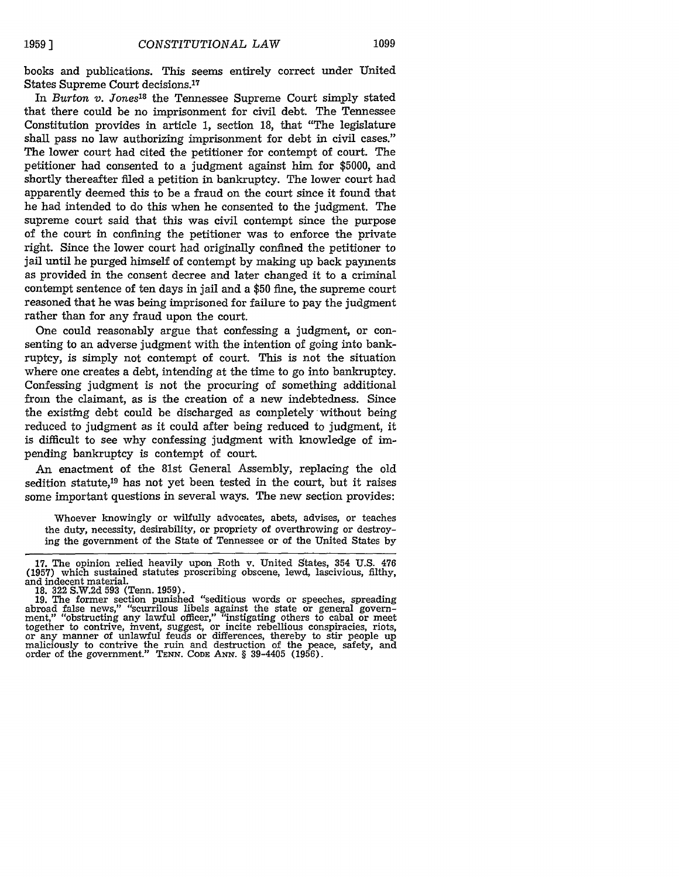books and publications. This seems entirely correct under United States Supreme Court decisions. <sup>17</sup>

In *Burton v. Jones18* the Tennessee Supreme Court simply stated that there could be no imprisonment for civil debt. The Tennessee Constitution provides in article 1, section 18, that "The legislature shall pass no law authorizing imprisonment for debt in civil cases." The lower court had cited the petitioner for contempt of court. The petitioner had consented to a judgment against him for \$5000, and shortly thereafter filed a petition in bankruptcy. The lower court had apparently deemed this to be a fraud on the court since it found that he had intended to do this when he consented to the judgment. The supreme court said that this was civil contempt since the purpose of the court in confining the petitioner was to enforce the private right. Since the lower court had originally confined the petitioner to jail until he purged himself of contempt by making up back payments as provided in the consent decree and later changed it to a criminal contempt sentence of ten days in jail and a \$50 fine, the supreme court reasoned that he was being imprisoned for failure to pay the judgment rather than for any fraud upon the court.

One could reasonably argue that confessing a judgment, or consenting to an adverse judgment with the intention of going into bankruptcy, is simply not contempt of court. This is not the situation where one creates a debt, intending at the time to go into bankruptcy. Confessing judgment is not the procuring of something additional from the claimant, as is the creation of a new indebtedness. Since the existing debt could be discharged as completely without being reduced to judgment as it could after being reduced to judgment, it is difficult to see why confessing judgment with knowledge of impending bankruptcy is contempt of court.

An enactment of the 81st General Assembly, replacing the old sedition statute,<sup>19</sup> has not yet been tested in the court, but it raises some important questions in several ways. The new section provides:

Whoever knowingly or wilfully advocates, abets, advises, or teaches the duty, necessity, desirability, or propriety of overthrowing or destroying the government of the State of Tennessee or of the United States by

<sup>17.</sup> The opinion relied heavily upon Roth v. United States, 354 U.S. 476 (1957) which sustained statutes proscribing obscene, lewd, lascivious, filthy, and indecent material.

and moecent material.<br>
18. 322 S.W.2d 593 (Tenn. 1959).<br>
19. The former section punished "seditious words or speeches, spreading<br>
abroad false news," "scurrilous libels against the state or general govern-<br>
ment," "obstruc together to contrive, mvent, suggest, or incite rebellious conspiracies, riots, or any manner of unlawful feuds or differences, thereby to stir people up maliciously to contrive the ruin and destruction of the peace, safet maliciously to contrive the ruin and destruction of the peace, safety, and order of the government." TENN. CODE ANN. § 39-4405 (1956).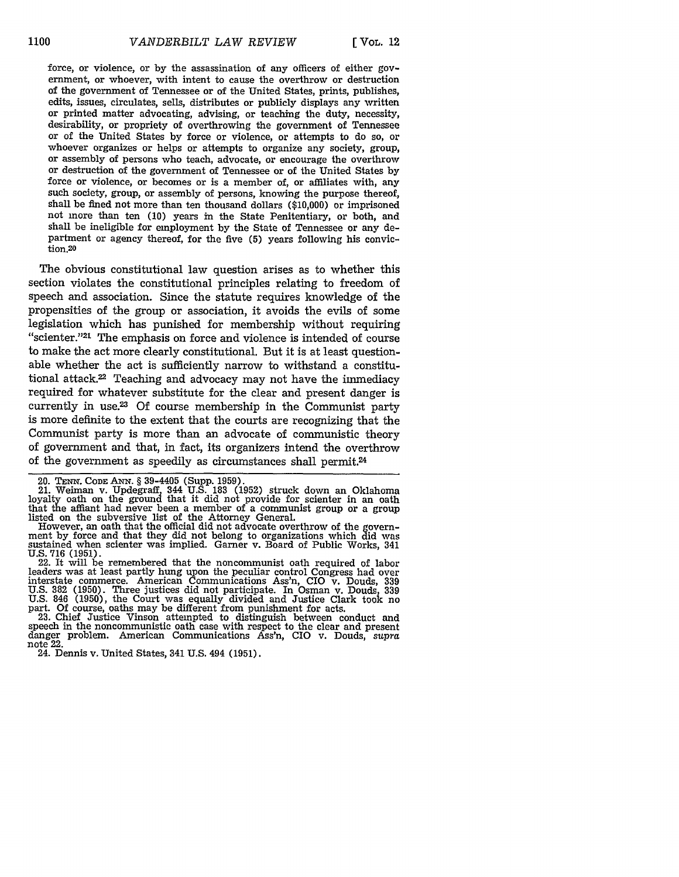force, or violence, or by the assassination of any officers of either government, or whoever, with intent to cause the overthrow or destruction of the government of Tennessee or of the United States, prints, publishes, edits, issues, circulates, sells, distributes or publicly displays any written or printed matter advocating, advising, or teaching the duty, necessity, desirability, or propriety of overthrowing the government of Tennessee or of the United States by force or violence, or attempts to do so, or whoever organizes or helps or attempts to organize any society, group, or assembly of persons who teach, advocate, or encourage the overthrow or destruction of the government of Tennessee or of the United States by force or violence, or becomes or is a member of, or affiliates with, any such society, group, or assembly of persons, knowing the purpose thereof, shall be fined not more than ten thousand dollars (\$10,000) or imprisoned not more than ten (10) years in the State Penitentiary, or both, and shall be ineligible for employment by the State of Tennessee or any department or agency thereof, for the five (5) years following his conviction.20

The obvious constitutional law question arises as to whether this section violates the constitutional principles relating to freedom of speech and association. Since the statute requires knowledge of the propensities of the group or association, it avoids the evils of some legislation which has punished for membership without requiring "scienter."21 The emphasis on force and violence is intended of course to make the act more clearly constitutional. But it is at least questionable whether the act is sufficiently narrow to withstand a constitutional attack.22 Teaching and advocacy may not have the immediacy required for whatever substitute for the clear and present danger is currently in use.<sup>23</sup> Of course membership in the Communist party is more definite to the extent that the courts are recognizing that the Communist party is more than an advocate of communistic theory of government and that, in fact, its organizers intend the overthrow of the government as speedily as circumstances shall permit. <sup>24</sup>

20. **TENN. CODE ANN.** § 39-4405 (Supp. 1959). 21. Weiman v. Updegraff, 344 U.S. **183** (1952) struck down an Oklahoma loyalty oath on the ground that it did not provide for scienter in an oath that the affiant had never been a member of a communist group or a group listed on the subversive list of the Attorney General.

However, an oath that the official did not advocate overthrow of the govern-<br>ment by force and that they did not belong to organizations which did was<br>sustained when scienter was implied. Garner v. Board of Public Works, 3 U.S. **716** (1951). 22. It will be remembered that the noncommunist oath required of labor

leaders was at least partly hung upon the peculiar control Congress had over interstate commerce. American Communications Ass'n, CIO v. Douds, **<sup>339</sup>** U.S. 382 (1950). Three justices did not participate. In Osman v. Douds, 339 U.S. 846 (1950), the Court was equally divided and Justice Clark took no part. Of course, oaths may be different from punishment for acts.

23. Chief Justice Vinson attempted to distinguish between conduct and speech in the noncommunistic oath case with respect to the clear and present danger problem. American Communications Ass'n, CIO v. Douds, supra note 22. 24. Dennis v. United States, 341 U.S. 494 (1951).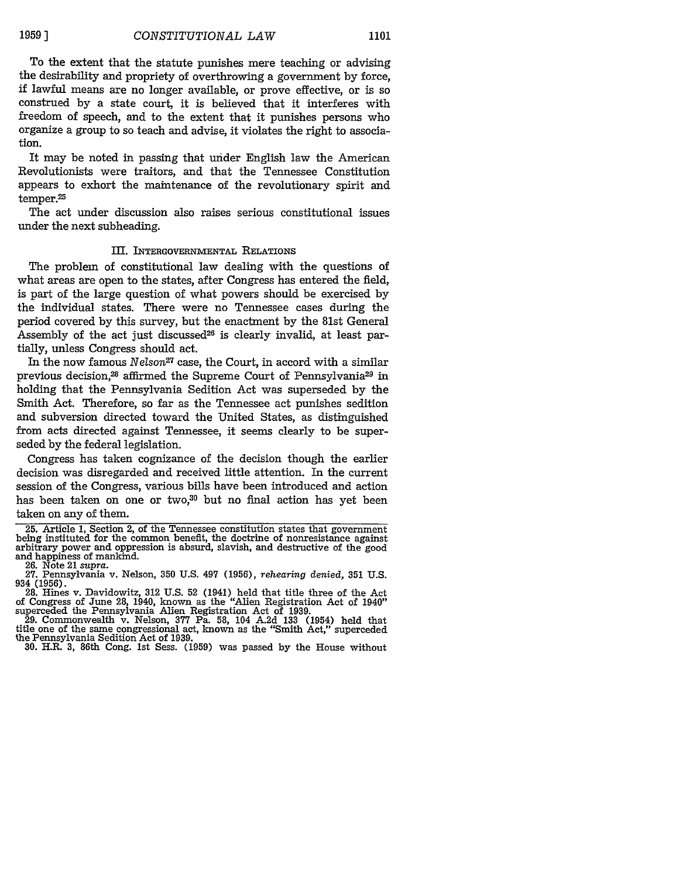To the extent that the statute punishes mere teaching or advising the desirability and propriety of overthrowing a government by force, if lawful means are no longer available, or prove effective, or is so construed by a state court, it is believed that it interferes with freedom of speech, and to the extent that it punishes persons who organize a group to so teach and advise, it violates the right to association.

It may be noted in passing that uider English law the American Revolutionists were traitors, and that the Tennessee Constitution appears to exhort the maintenance of the revolutionary spirit and temper.<sup>25</sup>

The act under discussion also raises serious constitutional issues under the next subheading.

#### III. INTERGOVERNmENTAL RELATIONS

The problem of constitutional law dealing with the questions of what areas are open to the states, after Congress has entered the field, is part of the large question of what powers should be exercised by the individual states. There were no Tennessee cases during the period covered by this survey, but the enactment by the 81st General Assembly of the act just discussed<sup>26</sup> is clearly invalid, at least partially, unless Congress should act.

In the now famous *Nelson27* case, the Court, in accord with a similar previous decision,<sup>28</sup> affirmed the Supreme Court of Pennsylvania<sup>29</sup> in holding that the Pennsylvania Sedition Act was superseded by the Smith Act. Therefore, so far as the Tennessee act punishes sedition and subversion directed toward the United States, as distinguished from acts directed against Tennessee, it seems clearly to be superseded by the federal legislation.

Congress has taken cognizance of the decision though the earlier decision was disregarded and received little attention. In the current session of the Congress, various bills have been introduced and action has been taken on one or two,<sup>30</sup> but no final action has yet been taken on any of them.

29. Commonwealth v. Nelson, 377 Pa. 58, 104 A.2d 133 (1954) held that title one of the same congressional act, known as the "Smith Act," superceded the Pennsylvania Sedition Act of 1939. the Pennsylvania Sedition Act of 1939.<br>30. H.R. 3, 86th Cong. 1st Sess. (1959) was passed by the House without

<sup>25.</sup> Article 1, Section 2, of the Tennessee constitution states that government<br>being instituted for the common benefit, the doctrine of nonresistance against<br>arbitrary power and oppression is absurd, slavish, and destructi

<sup>26.</sup> Note 21 *supra.* 27. Pennsylvania v. Nelson, 350 U.S. 497 (1956), *rehearing* denied, 351 U.S. <sup>934</sup>**(1956).** 28. Hines v. Davidowitz, 312 U.S. 52 (1941) held that title three of the Act

of Congress of June 28, 1940, known as the "Alien Registration Act of 1940" superceded the Pennsylvania Alien Registration Act of 1939.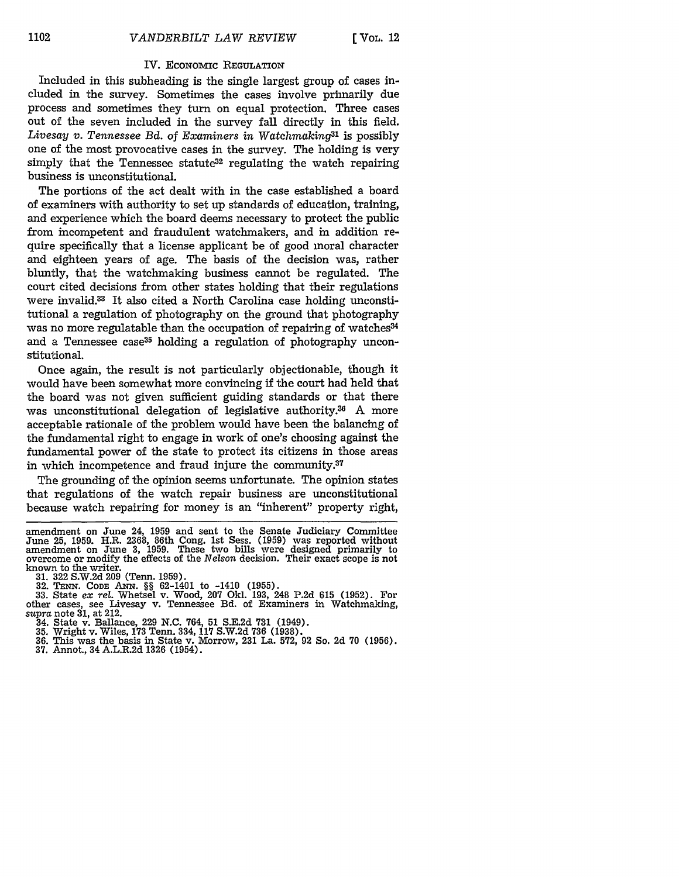#### IV. EcoNomic **REGULATION**

Included in this subheading is the single largest group of cases included in the survey. Sometimes the cases involve primarily due process and sometimes they turn on equal protection. Three cases out of the seven included in the survey fall directly in this field. *Livesay v. Tennessee Bd.* of *Examiners in Watchmaking3l* is possibly one of the most provocative cases in the survey. The holding is very simply that the Tennessee statute<sup>32</sup> regulating the watch repairing business is unconstitutional.

The portions of the act dealt with in the case established a board of examiners with authority to set up standards of education, training, and experience which the board deems necessary to protect the public from incompetent and fraudulent watchmakers, and in addition require specifically that a license applicant be of good moral character and eighteen years of age. The basis of the decision was, rather bluntly, that the watchmaking business cannot be regulated. The court cited decisions from other states holding that their regulations were invalid.33 It also cited a North Carolina case holding unconstitutional a regulation of photography on the ground that photography was no more regulatable than the occupation of repairing of watches<sup>34</sup> and a Tennessee case<sup>35</sup> holding a regulation of photography unconstitutional.

Once again, the result is not particularly objectionable, though it would have been somewhat more convincing if the court had held that the board was not given sufficient guiding standards or that there was unconstitutional delegation of legislative authority.<sup>36</sup> A more acceptable rationale of the problem would have been the balancing of the fundamental right to engage in work of one's choosing against the fundamental power of the state to protect its citizens in those areas in which incompetence and fraud injure the community.37

The grounding of the opinion seems unfortunate. The opinion states that regulations of the watch repair business are unconstitutional because watch repairing for money is an "inherent" property right,

amendment on June 24, 1959 and sent to the Senate Judiciary Committee June 25, 1959. H.R. 2368, 86th Cong. 1st Sess. (1959) was reported without amendment on June 3, 1959. These two bills were designed primarily to overcome or modify the effects of the Nelson decision. Their exact scope is n known to the writer. **31. 322** S.W.2d 209 (Tenn. 1959).

<sup>32.</sup> **TENN. CODE** AxN. §§ 62-1401 to -1410 (1955). 33. State *ex rel.* Whetsel v. Wood, 207 Okl. 193, 248 P.2d **615** (1952). For other cases, see Livesay v. Tennessee Bd. of Examiners in Watchmaking, *supra* note **31,** at 212.

<sup>34.</sup> State v. Ballance, 229 N.C. 764, 51 S.E.2d **731** (1949).

**<sup>35.</sup>** Wright v. Wiles, **173** Tenn. 334, 117 S.W.2d **736** (1938). **36.** This was the basis in State v. Morrow, 231 La. **572,** 92 So. 2d **70** (1956). **37.** Annot., 34 A.L.R.2d 1326 (1954).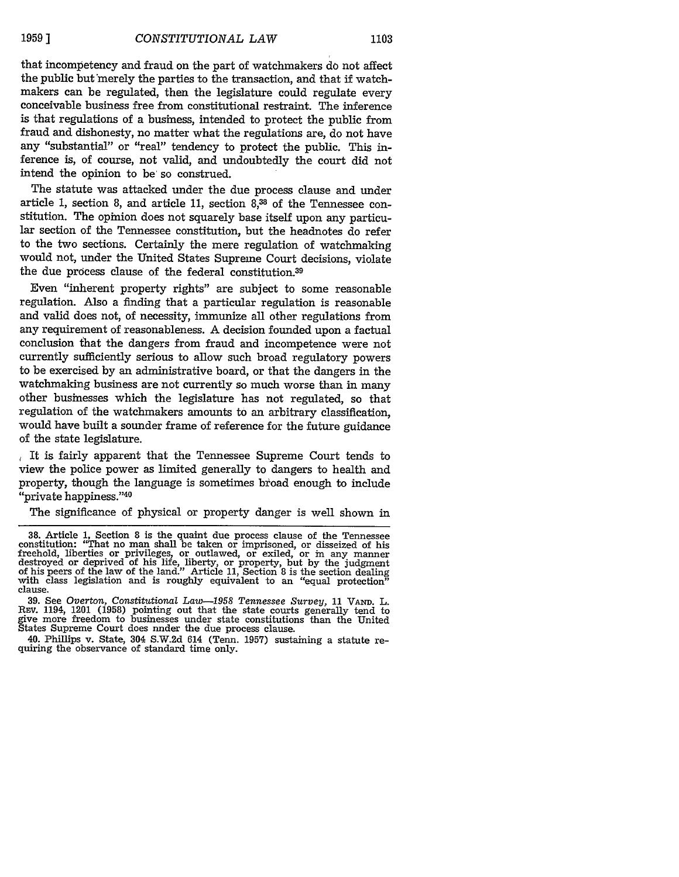that incompetency and fraud on the part of watchmakers do not affect the public but merely the parties to the transaction, and that if watchmakers can be regulated, then the legislature could regulate every conceivable business free from constitutional restraint. The inference is that regulations of a business, intended to protect the public from fraud and dishonesty, no matter what the regulations are, do not have any "substantial" or "real" tendency to protect the public. This inference is, of course, not valid, and undoubtedly the court did not intend the opinion to be so construed.

The statute was attacked under the due process clause and under article 1, section 8, and article **11,** section **8,3** of the Tennessee constitution. The opinion does not squarely base itself upon any particular section of the Tennessee constitution, but the headnotes do refer to the two sections. Certainly the mere regulation of watchmaking would not, under the United States Supreme Court decisions, violate the due process clause of the federal constitution.39

Even "inherent property rights" are subject to some reasonable regulation. Also a finding that a particular regulation is reasonable and valid does not, of necessity, immunize all other regulations from any requirement of reasonableness. A decision founded upon a factual conclusion that the dangers from fraud and incompetence were not currently sufficiently serious to allow such broad regulatory powers to be exercised by an administrative board, or that the dangers in the watchmaking business are not currently so much worse than in many other businesses which the legislature has not regulated, so that regulation of the watchmakers amounts to an arbitrary classification, would have built a sounder frame of reference for the future guidance of the state legislature.

It is fairly apparent that the Tennessee Supreme Court tends to view the police power as limited generally to dangers to health and property, though the language is sometimes broad enough to include "private happiness."40

The significance of physical or property danger is well shown in

**<sup>38.</sup>** Article 1, Section 8 is the quaint due process clause of the Tennessee constitution: "That no man shall be taken or imprisoned, or disseized of his<br>freehold, liberties or privileges, or outlawed, or exiled, or in any manner<br>destroyed or deprived of his life, liberty, or property, but by the j

**<sup>39.</sup>** See *Overton, Constitutional Law-1958 Tennessee Survey,* 11 VAND. L. REv. 1194, 1201 (1958) pointing out that the state courts generally tend to give more freedom to businesses under state constitutions than the United States Supreme Court does nnder the due process clause.

<sup>40.</sup> Phillips v. State, 304 S.W.2d 614 (Tenn. 1957) sustaining a statute re- quiring the observance of standard time only.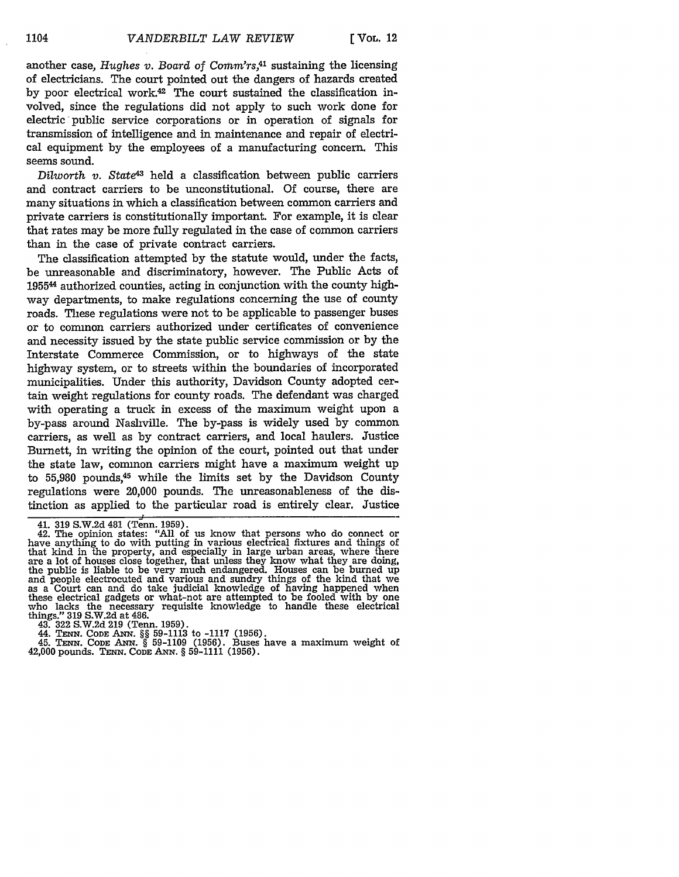another case, *Hughes v. Board of Comm'rs*,<sup>41</sup> sustaining the licensing of electricians. The court pointed out the dangers of hazards created by poor electrical work.42 The court sustained the classification involved, since the regulations did not apply to such work done for electric public service corporations or in operation of signals for transmission of intelligence and in maintenance and repair of electrical equipment by the employees of a manufacturing concern. This seems sound.

*Dilworth v. State<sup>43</sup>* held a classification between public carriers and contract carriers to be unconstitutional. Of course, there are many situations in which a classification between common carriers and private carriers is constitutionally important. For example, it is clear that rates may be more fully regulated in the case of common carriers than in the case of private contract carriers.

The classification attempted by the statute would, under the facts, be unreasonable and discriminatory, however. The Public Acts of 19554 authorized counties, acting in conjunction with the county highway departments, to make regulations concerning the use of county roads. These regulations were not to be applicable to passenger buses or to common carriers authorized under certificates of convenience and necessity issued by the state public service commission or by the Interstate Commerce Commission, or to highways of the state highway system, or to streets within the boundaries of incorporated municipalities. Under this authority, Davidson County adopted certain weight regulations for county roads. The defendant was charged with operating a truck in excess of the maximum weight upon a by-pass around Nashville. The by-pass is widely used by common carriers, as well as by contract carriers, and local haulers. Justice Burnett, in writing the opinion of the court, pointed out that under the state law, common carriers might have a maximum weight up to 55,980 pounds,<sup>45</sup> while the limits set by the Davidson County regulations were 20,000 pounds. The unreasonableness of the distinction as applied to the particular road is entirely clear. Justice

43. 322 S.W.2d 219 (Tenn. 1959).

44. **TENN. CODE ANN. §§ 59-1113** to **-1117 (1956).**

45. **TENN.** CODE **A.N.** § **59-1109 (1956).** Buses have a maximum weight of 42,000 pounds. **TsNN.** CODE **ANN.** *§* **59-1111 (1956).**

<sup>41.</sup> **319** S.W.2d 481 (Tenn. 1959). 42. The opinion states: "All of us know that persons who do connect or have anything to do with putting in various electrical fixtures and things of that kind in the property, and especially in large urban areas, where there are a lot of houses close together, that unless they know what they are doing, the public is liable to be very much endangered. Houses can be burned up and people electrocuted and various and sundry things of the kind that we as a Court can and do take judicial knowledge of having happened when these electrical gadgets or what-not are attempted to be fooled with by one who lacks the necessary requisite knowledge to handle these electrical things." 319 S.W.2d at 486.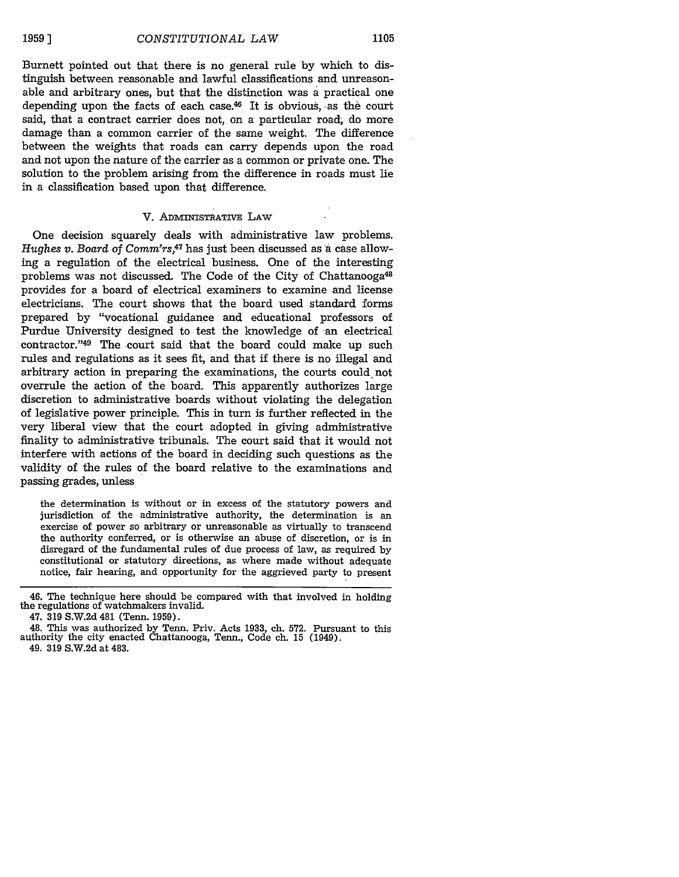Burnett pointed out that there is no general rule by which to distinguish between reasonable and lawful classifications and unreasonable and arbitrary ones, but that the distinction was a practical one depending upon the facts of each case. $46$  It is obvious, as the court said, that a contract carrier does not, on a particular road, do more damage than a common carrier of the same weight. The difference between the weights that roads can carry depends upon the road and not upon the nature of the carrier as a common or private one. The solution to the problem arising from the difference in roads must lie in a classification based upon that difference.

#### V. **ADMINISTRATIVE** LAW

One decision squarely deals with administrative law problems. *Hughes v. Board of Comm'rs,47* has just been discussed as a case allowing a regulation of the electrical business. One of the interesting problems was not discussed. The Code of the City of Chattanooga<sup>48</sup> provides for a board of electrical examiners to examine and license electricians. The court shows that the board used standard forms prepared by "vocational guidance and educational professors of Purdue University designed to test the knowledge of an electrical contractor."<sup>49</sup> The court said that the board could make up such rules and regulations as it sees fit, and that if there is no illegal and arbitrary action in preparing the examinations, the courts could not overrule the action of the board. This apparently authorizes large discretion to administrative boards without violating the delegation of legislative power principle. This in turn is further reflected in the very liberal view that the court adopted in giving administrative finality to administrative tribunals. The court said that it would not interfere with actions of the board in deciding such questions as the validity of the rules of the board relative to the examinations and passing grades, unless

the determination is without or in excess of the statutory powers and jurisdiction of the administrative authority, the determination is an exercise of power so arbitrary or unreasonable as virtually to transcend the authority conferred, or is otherwise an abuse of discretion, or is in disregard of the fundamental rules of due process of law, as required by constitutional or statutory directions, as where made without adequate notice, fair hearing, and opportunity for the aggrieved party to present

<sup>46.</sup> The technique here should be compared with that involved in holding the regulations of watchmakers invalid.

<sup>47. 319</sup> S.W.2d 481 (Tenn. 1959).

<sup>48.</sup> This was authorized by Tenn. Priv. Acts 1933, ch. 572. Pursuant to this authority the city enacted Chattanooga, Tenn., Code ch. 15 (1949). 49. 319 S.W.2d at 483.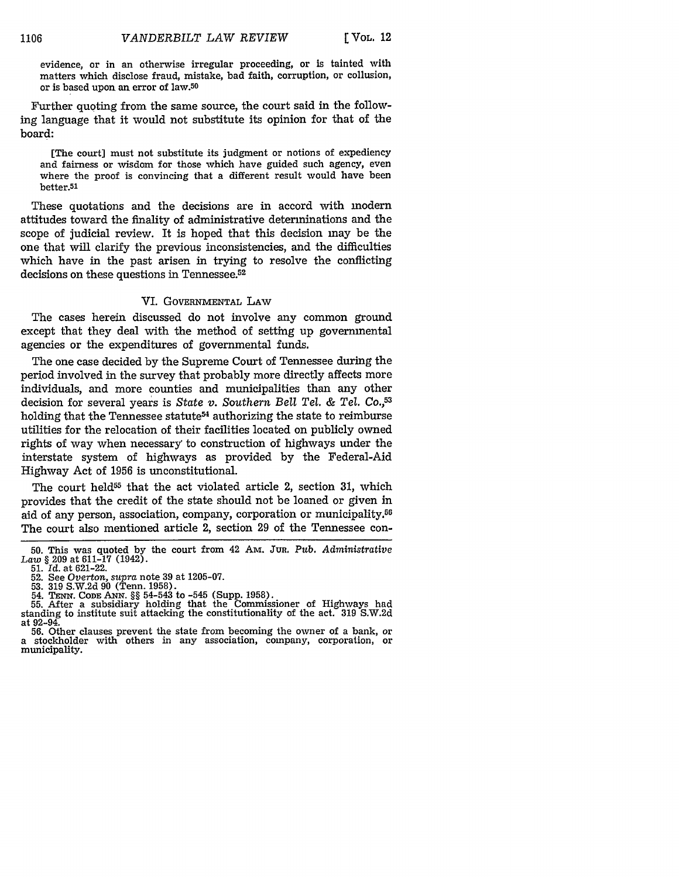evidence, or in an otherwise irregular proceeding, or is tainted with matters which disclose fraud, mistake, bad faith, corruption, or collusion, or is based upon an error of law.50

Further quoting from the same source, the court said in the following language that it would not substitute its opinion for that of the board:

[The court] must not substitute its judgment or notions of expediency and fairness or wisdom for those which have guided such agency, even where the proof is convincing that a different result would have been better.51

These quotations and the decisions are in accord with modern attitudes toward the finality of administrative determinations and the scope of judicial review. It is hoped that this decision may be the one that will clarify the previous inconsistencies, and the difficulties which have in the past arisen in trying to resolve the conflicting decisions on these questions in Tennessee.<sup>52</sup>

#### VI. GOVERNMENTAL LAW

The cases herein discussed do not involve any common ground except that they deal with the method of setting up governmental agencies or the expenditures of governmental funds.

The one case decided by the Supreme Court of Tennessee during the period involved in the survey that probably more directly affects more individuals, and more counties and municipalities than any other decision for several years is *State v. Southern Bell Tel. & Tel. Co.,5 <sup>3</sup>* holding that the Tennessee statute<sup>54</sup> authorizing the state to reimburse utilities for the relocation of their facilities located on publicly owned rights of way when necessary to construction of highways under the interstate system of highways as provided by the Federal-Aid Highway Act of 1956 is unconstitutional.

The court held<sup>55</sup> that the act violated article 2, section 31, which provides that the credit of the state should not be loaned or given in aid of any person, association, company, corporation or municipality.<sup>56</sup> The court also mentioned article 2, section 29 of the Tennessee con-

**<sup>50.</sup>** This was quoted by the court from 42 AM. JuR. *Pub. Administrative Law* § 209 at 611-17 (1942).

<sup>51.</sup> *Id.* at 621-22. 52. See *Overton, supra* note 39 at 1205-07.

<sup>53. 319</sup> S.W.2d 90 (Tenn. 1958). 54. TENN. CODE ANN. *§§* 54-543 to -545 (Supp. 1958). 55. After a subsidiary holding that the Commissioner of Highways had standing to institute suit attacking the constitutionality of the act. 319 S.W.2d at 92-94.

<sup>56.</sup> Other clauses prevent the state from becoming the owner of a bank, or a stockholder with others in any association, company, corporation, or municipality.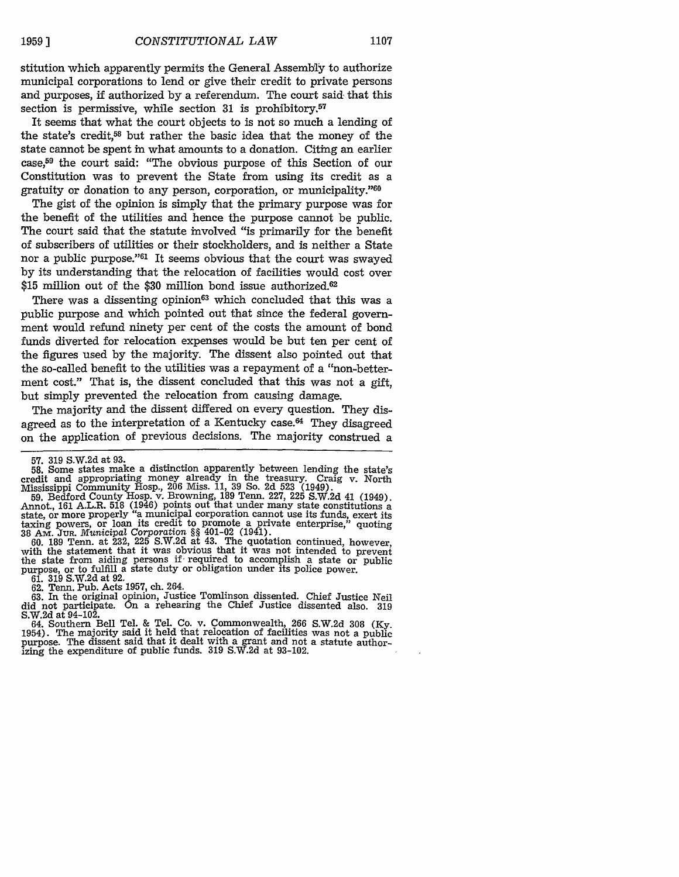stitution which apparently permits the General Assembly to authorize municipal corporations to lend or give their credit to private persons and purposes, if authorized by a referendum. The court said- that this section is permissive, while section 31 is prohibitory.<sup>57</sup>

It seems that what the court objects to is not so much a lending of the state's credit,<sup>58</sup> but rather the basic idea that the money of the state cannot be spent in what amounts to a donation. Citing an earlier case,<sup>59</sup> the court said: "The obvious purpose of this Section of our Constitution was to prevent the State from using its credit as a gratuity or donation to any person, corporation, or municipality."<sup>60</sup>

The gist of the opinion is simply that the primary purpose was for the benefit of the utilities and hence the purpose cannot be public. The court said that the statute involved "is primarily for the benefit of subscribers of utilities or their stockholders, and is neither a State nor a public purpose."61 It seems obvious that the court was swayed by its understanding that the relocation of facilities would cost over \$15 million out of the \$30 million bond issue authorized. $62$ 

There was a dissenting opinion<sup>63</sup> which concluded that this was a public purpose and which pointed out that since the federal government would refund ninety per cent of the costs the amount of bond funds diverted for relocation expenses would be but ten per cent of the figures used by the majority. The dissent also pointed out that the so-called benefit to the utilities was a repayment of a "non-betterment cost." That is, the dissent concluded that this was not a gift. but simply prevented the relocation from causing damage.

The majority and the dissent differed on every question. They disagreed as to the interpretation of a Kentucky case.<sup>64</sup> They disagreed on the application of previous decisions. The majority construed a

**58.** Some states make a distinction apparently between lending the state's credit and appropriating money already in the treasury. Craig v. North Mississippi Community Hosp., 206 Miss. 11, 39 So. 2d 523 (1949).

59. Bedford County Hosp. v. Browning, 189 Tenn. 227, 225 S.W.2d 41 (1949).<br>Annot., 161 A.L.R. 518 (1946) points out that under many state constitutions a state, or more properly "a municipal corporation cannot use its fund taxing powers, or loan its credit to promote a private enterprise," quoting **38** AM. Jua. *Municipal Corporation §§* 401-02 (1941). 60. 189 Tenn. at 232, 225 S.W.2d at 43. The quotation continued, however,

with the statement that it was obvious that it was not intended to prevent the state from aiding persons *if'* required to accomplish a state or public purpose, or to fulfill a state duty or obligation under its police power.<br>61. 319 S.W.2d at 92.

62. Tenn. Pub. Acts 1957, ch. 264.

63. In the original opinion, Justice Tomlinson dissented. Chief Justice Neil did not participate. On a rehearing the Chief Justice dissented also. 319 S.W.2d at 94-102.

64. Southern Bell Tel. & Tel. Co. v. Commonwealth, 266 S.W.2d 308 (Ky. 1954). The majority said it held that relocation of facilities was not a public purpose. The dissent said that it dealt with a grant and not a statute authorizing the expenditure of public funds. **319** S.W.2d at 93-102.

<sup>57. 319</sup> S.W.2d at 93.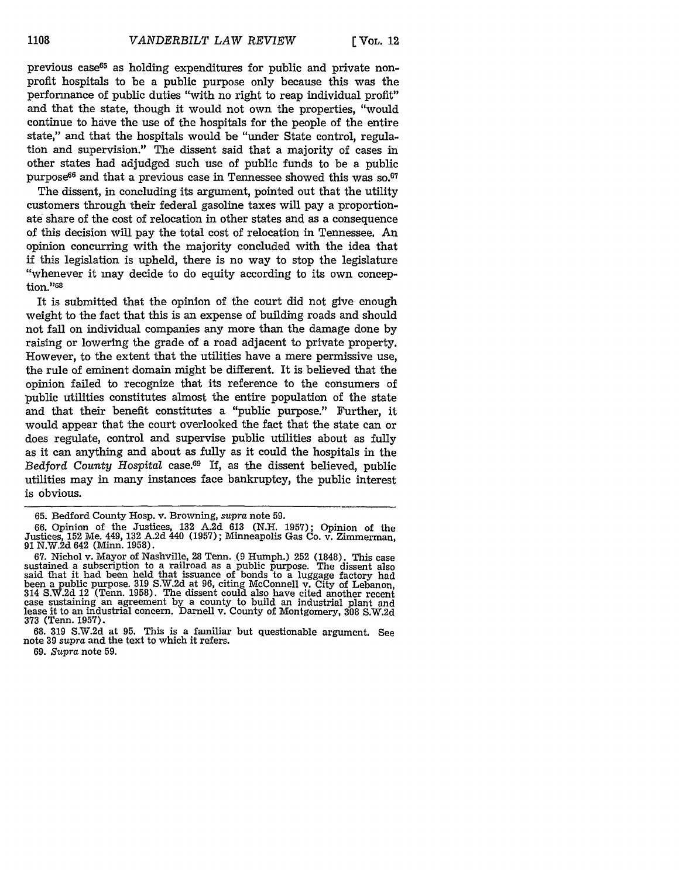previous case<sup>65</sup> as holding expenditures for public and private nonprofit hospitals to be a public purpose only because this was the performance of public duties "with no right to reap individual profit" and that the state, though it would not own the properties, "would continue to have the use of the hospitals for the people of the entire state," and that the hospitals would be "under State control, regulation and supervision." The dissent said that a majority of cases in other states had adjudged such use of public funds to be a public purpose<sup>66</sup> and that a previous case in Tennessee showed this was so.<sup>67</sup>

The dissent, in concluding its argument, pointed out that the utility customers through their federal gasoline taxes will pay a proportionate share of the cost of relocation in other states and as a consequence of this decision will pay the total cost of relocation in Tennessee. An opinion concurring with the majority concluded with the idea that if this legislation is upheld, there is no way to stop the legislature "whenever it may decide to do equity according to its own conception."<sup>68</sup>

It is submitted that the opinion of the court did not give enough weight to the fact that this is an expense of building roads and should not fall on individual companies any more than the damage done by raising or lowering the grade of a road adjacent to private property. However, to the extent that the utilities have a mere permissive use, the rule of eminent domain might be different. It is believed that the opinion failed to recognize that its reference to the consumers of public utilities constitutes almost the entire population of the state and that their benefit constitutes a "public purpose." Further, it would appear that the court overlooked the fact that the state can or does regulate, control and supervise public utilities about as fully as it can anything and about as fully as it could the hospitals in the *Bedford County Hospital* case.69 If, as the dissent believed, public utilities may in many instances face bankruptcy, the public interest is obvious.

69. Supra note 59.

<sup>65.</sup> Bedford County Hosp. v. Browning, *supra* note 59.

<sup>66.</sup> Opinion of the Justices, 132 A.2d 613 (N.H. 1957); Opinion of the Justices, 152 Me. 449, 132 A.2d 440 (1957); Minneapolis Gas Co. v. Zimmerman<br>91 N.W.2d 642 (Minn. 1958).

<sup>67.</sup> Nichol v. Mayor of Nashville, 28 Tenn. (9 Humph.) 252 (1848). This case sustained a subscription to a railroad as a public purpose. The dissent also said that it had been held that issuance of bonds to a luggage factory had been a public purpose. 319 S.W.2d at 96, citing McConnell v. City of Lebanon, 314 S.W.2d 12 (Tenn. 1958). The dissent could also have cited another recent case sustaining an agreement by a county to build an industrial plant and lease it to an industrial concern. Darnell v. County of Montgomery, 308 S.W.2d 373 (Tenn. 1957).

<sup>68. 319</sup> S.W.2d at 95. This is a familiar but questionable argument. See note **39** *supra* and the text to which it refers.